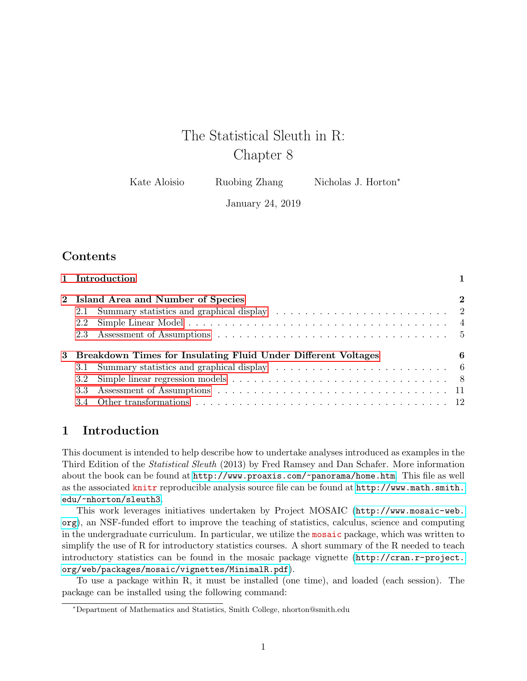# The Statistical Sleuth in R: Chapter 8

Kate Aloisio Ruobing Zhang Nicholas J. Horton<sup>\*</sup>

January 24, 2019

# **Contents**

|     | 1 Introduction                                                  |          |
|-----|-----------------------------------------------------------------|----------|
|     | 2 Island Area and Number of Species                             | $\bf{2}$ |
| 2.1 |                                                                 |          |
| 2.2 |                                                                 |          |
|     |                                                                 |          |
|     | 3 Breakdown Times for Insulating Fluid Under Different Voltages | 6        |
|     |                                                                 |          |
| 3.2 |                                                                 |          |
|     |                                                                 |          |
|     |                                                                 |          |
|     |                                                                 |          |

# <span id="page-0-0"></span>1 Introduction

This document is intended to help describe how to undertake analyses introduced as examples in the Third Edition of the Statistical Sleuth (2013) by Fred Ramsey and Dan Schafer. More information about the book can be found at <http://www.proaxis.com/~panorama/home.htm>. This file as well as the associated knitr reproducible analysis source file can be found at [http://www.math.smith.](http://www.math.smith.edu/~nhorton/sleuth3) [edu/~nhorton/sleuth3](http://www.math.smith.edu/~nhorton/sleuth3).

This work leverages initiatives undertaken by Project MOSAIC ([http://www.mosaic-web.](http://www.mosaic-web.org) [org](http://www.mosaic-web.org)), an NSF-funded effort to improve the teaching of statistics, calculus, science and computing in the undergraduate curriculum. In particular, we utilize the mosaic package, which was written to simplify the use of R for introductory statistics courses. A short summary of the R needed to teach introductory statistics can be found in the mosaic package vignette ([http://cran.r-project.](http://cran.r-project.org/web/packages/mosaic/vignettes/MinimalR.pdf) [org/web/packages/mosaic/vignettes/MinimalR.pdf](http://cran.r-project.org/web/packages/mosaic/vignettes/MinimalR.pdf)).

To use a package within R, it must be installed (one time), and loaded (each session). The package can be installed using the following command:

<sup>∗</sup>Department of Mathematics and Statistics, Smith College, nhorton@smith.edu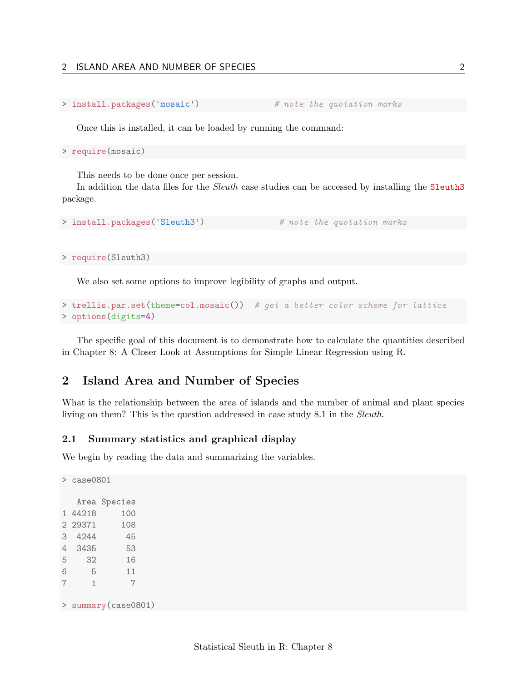```
> install.packages('mosaic') # note the quotation marks
```
Once this is installed, it can be loaded by running the command:

> require(mosaic)

This needs to be done once per session.

In addition the data files for the *Sleuth* case studies can be accessed by installing the **Sleuth3** package.

```
> install.packages('Sleuth3') # note the quotation marks
```
> require(Sleuth3)

We also set some options to improve legibility of graphs and output.

```
> trellis.par.set(theme=col.mosaic()) # get a better color scheme for lattice
> options(digits=4)
```
The specific goal of this document is to demonstrate how to calculate the quantities described in Chapter 8: A Closer Look at Assumptions for Simple Linear Regression using R.

# <span id="page-1-0"></span>2 Island Area and Number of Species

What is the relationship between the area of islands and the number of animal and plant species living on them? This is the question addressed in case study 8.1 in the Sleuth.

### <span id="page-1-1"></span>2.1 Summary statistics and graphical display

We begin by reading the data and summarizing the variables.

```
> case0801
  Area Species
1 44218 100
2 29371 108
3 4244 45
4 3435 53
5 32 16
6 5 11
7 1 7
> summary(case0801)
```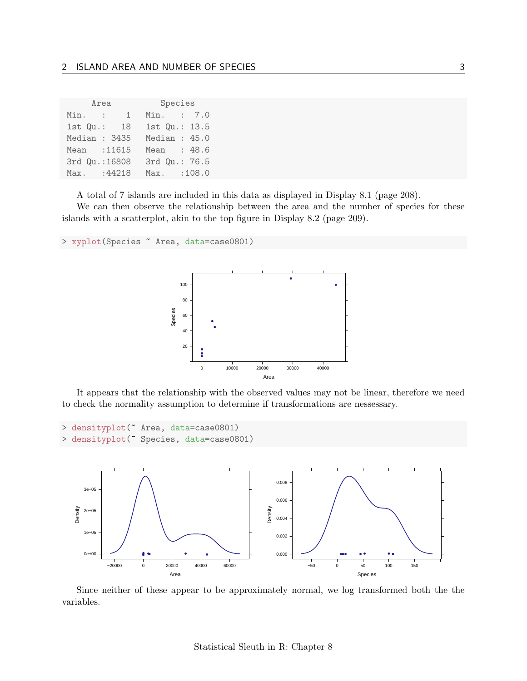|               | Area                     | Species |  |                |
|---------------|--------------------------|---------|--|----------------|
| Min.          | $\mathbf{1}$<br>$\sim$ 1 |         |  | Min. : 7.0     |
| $1st$ $Qu.:$  | - 18                     |         |  | 1st Qu.: 13.5  |
| Median : 3435 |                          |         |  | Median: $45.0$ |
| Mean : 11615  |                          |         |  | Mean : 48.6    |
|               | 3rd Qu.: 16808           |         |  | 3rd Qu.: 76.5  |
| Max.          | :44218                   | Max.    |  | :108.0         |

A total of 7 islands are included in this data as displayed in Display 8.1 (page 208).

We can then observe the relationship between the area and the number of species for these islands with a scatterplot, akin to the top figure in Display 8.2 (page 209).

```
> xyplot(Species ~ Area, data=case0801)
```


It appears that the relationship with the observed values may not be linear, therefore we need to check the normality assumption to determine if transformations are nessessary.

```
> densityplot(~ Area, data=case0801)
> densityplot(~ Species, data=case0801)
```


Since neither of these appear to be approximately normal, we log transformed both the the variables.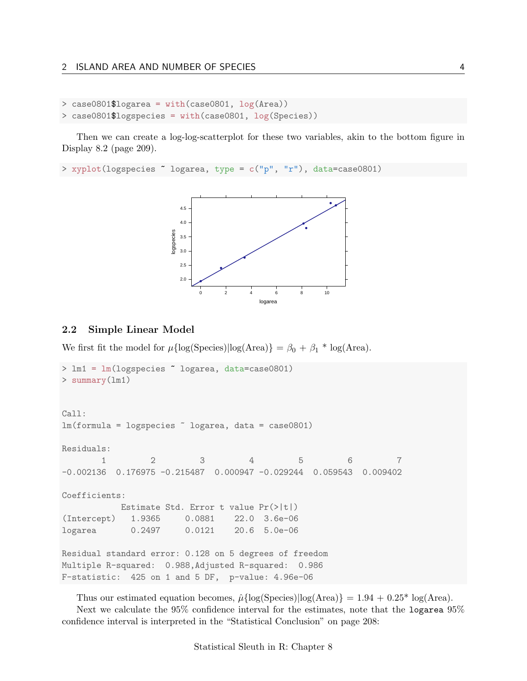```
> case0801$logarea = with(case0801, log(Area))
> case0801$logspecies = with(case0801, log(Species))
```
Then we can create a log-log-scatterplot for these two variables, akin to the bottom figure in Display 8.2 (page 209).

```
> xyplot(logspecies ~ logarea, type = c("p", "r"), data=case0801)
```


#### <span id="page-3-0"></span>2.2 Simple Linear Model

We first fit the model for  $\mu{\log(Species)}\log(Area) = \beta_0 + \beta_1 * \log(Area)$ .

```
> lm1 = lm(logspecies ~ logarea, data=case0801)
> summary(lm1)
Call:
lm(formula = logspecies ~ logarea, data = case0801)
Residuals:
       1 2 3 4 5 6 7
-0.002136 0.176975 -0.215487 0.000947 -0.029244 0.059543 0.009402
Coefficients:
          Estimate Std. Error t value Pr(>|t|)
(Intercept) 1.9365 0.0881 22.0 3.6e-06
logarea 0.2497 0.0121 20.6 5.0e-06
Residual standard error: 0.128 on 5 degrees of freedom
Multiple R-squared: 0.988,Adjusted R-squared: 0.986
F-statistic: 425 on 1 and 5 DF, p-value: 4.96e-06
```
Thus our estimated equation becomes,  $\hat{\mu}$ {log(Species)|log(Area)} = 1.94 + 0.25<sup>\*</sup> log(Area). Next we calculate the 95% confidence interval for the estimates, note that the logarea 95% confidence interval is interpreted in the "Statistical Conclusion" on page 208: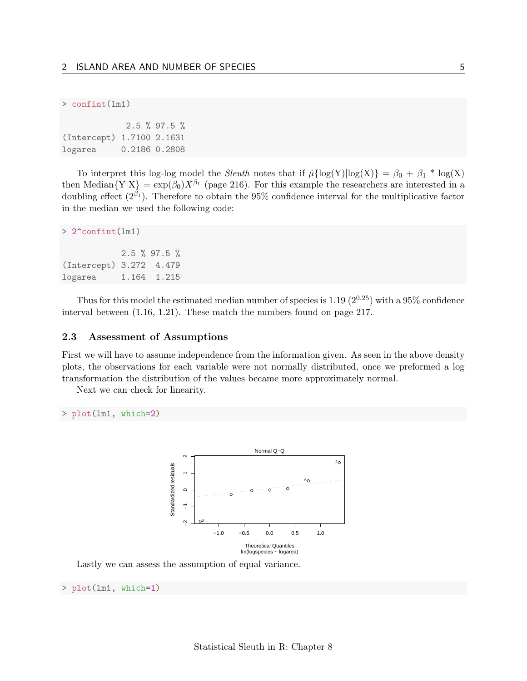```
> confint(lm1)
```

|                           | $2.5 \%$ 97.5 % |
|---------------------------|-----------------|
| (Intercept) 1.7100 2.1631 |                 |
| logarea                   | 0.2186 0.2808   |

To interpret this log-log model the *Sleuth* notes that if  $\hat{\mu} \{ \log(Y) | \log(X) \} = \beta_0 + \beta_1 * \log(X)$ then Median ${Y|X} = exp(\beta_0)X^{\beta_1}$  (page 216). For this example the researchers are interested in a doubling effect  $(2^{\beta_1})$ . Therefore to obtain the 95% confidence interval for the multiplicative factor in the median we used the following code:

```
> 2^confint(lm1)
           2.5 % 97.5 %
(Intercept) 3.272 4.479
logarea 1.164 1.215
```
Thus for this model the estimated median number of species is 1.19  $(2^{0.25})$  with a 95% confidence interval between (1.16, 1.21). These match the numbers found on page 217.

#### <span id="page-4-0"></span>2.3 Assessment of Assumptions

First we will have to assume independence from the information given. As seen in the above density plots, the observations for each variable were not normally distributed, once we preformed a log transformation the distribution of the values became more approximately normal.

Next we can check for linearity.

```
> plot(lm1, which=2)
```


Lastly we can assess the assumption of equal variance.

> plot(lm1, which=1)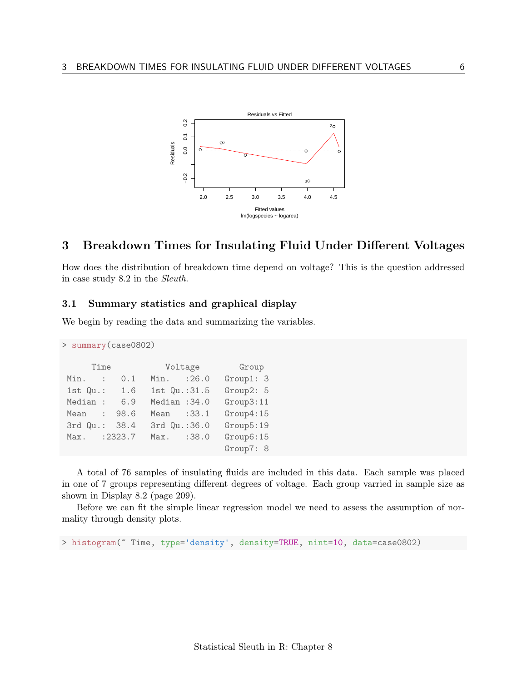

# <span id="page-5-0"></span>3 Breakdown Times for Insulating Fluid Under Different Voltages

How does the distribution of breakdown time depend on voltage? This is the question addressed in case study 8.2 in the Sleuth.

### <span id="page-5-1"></span>3.1 Summary statistics and graphical display

We begin by reading the data and summarizing the variables.

```
> summary(case0802)
    Time Voltage Group
Min. : 0.1 Min. :26.0 Group1: 3
1st Qu.: 1.6 1st Qu.:31.5 Group2: 5
Median : 6.9 Median :34.0 Group3:11
Mean : 98.6 Mean : 33.1 Group4:15
3rd Qu.: 38.4 3rd Qu.:36.0 Group5:19
Max. :2323.7 Max. :38.0 Group6:15
                           Group7: 8
```
A total of 76 samples of insulating fluids are included in this data. Each sample was placed in one of 7 groups representing different degrees of voltage. Each group varried in sample size as shown in Display 8.2 (page 209).

Before we can fit the simple linear regression model we need to assess the assumption of normality through density plots.

> histogram(~ Time, type='density', density=TRUE, nint=10, data=case0802)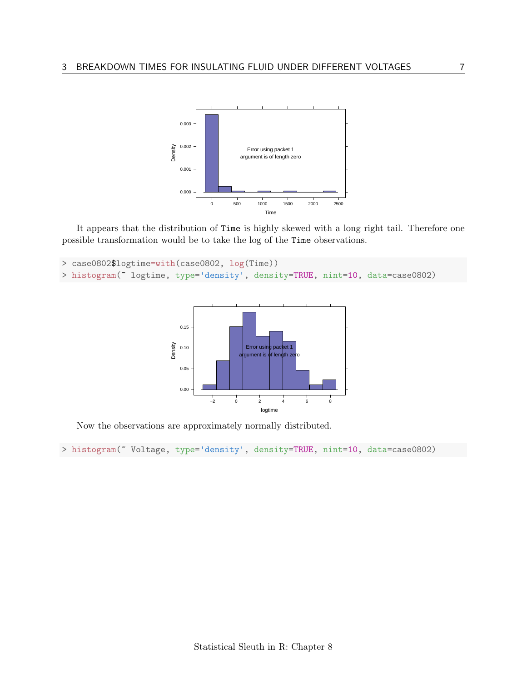

It appears that the distribution of Time is highly skewed with a long right tail. Therefore one possible transformation would be to take the log of the Time observations.

```
> case0802$logtime=with(case0802, log(Time))
> histogram(~ logtime, type='density', density=TRUE, nint=10, data=case0802)
```


Now the observations are approximately normally distributed.

> histogram(~ Voltage, type='density', density=TRUE, nint=10, data=case0802)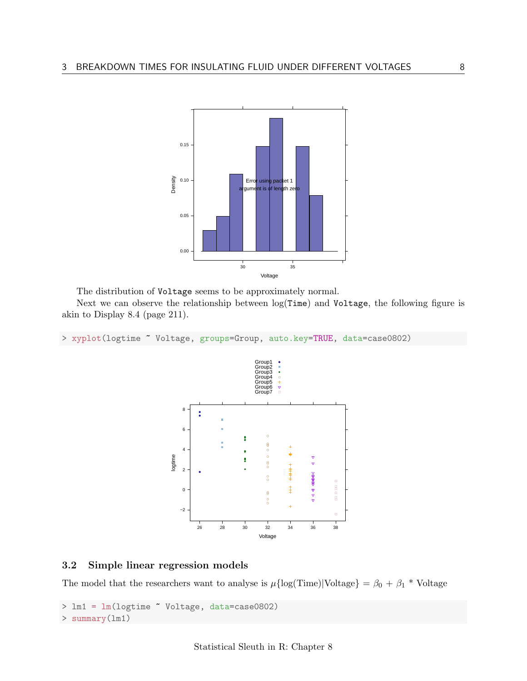

The distribution of Voltage seems to be approximately normal.

Next we can observe the relationship between log(Time) and Voltage, the following figure is akin to Display 8.4 (page 211).

> xyplot(logtime ~ Voltage, groups=Group, auto.key=TRUE, data=case0802)



### <span id="page-7-0"></span>3.2 Simple linear regression models

The model that the researchers want to analyse is  $\mu{\rm{log(Time)}}|{\rm{Voltage}}\} = \beta_0 + \beta_1$ <sup>\*</sup> Voltage

> lm1 = lm(logtime ~ Voltage, data=case0802) > summary(lm1)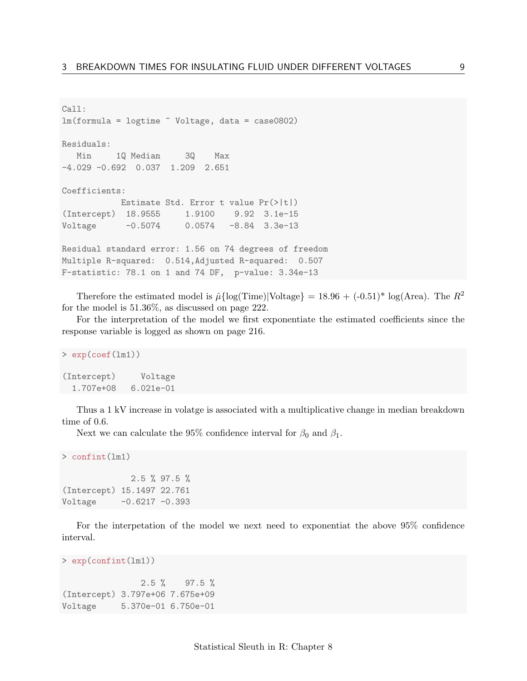```
Call:
lm(formula = logtime "Voltage, data = case0802)Residuals:
  Min 1Q Median 3Q Max
-4.029 -0.692 0.037 1.209 2.651
Coefficients:
          Estimate Std. Error t value Pr(>|t|)
(Intercept) 18.9555 1.9100 9.92 3.1e-15
Voltage -0.5074 0.0574 -8.84 3.3e-13
Residual standard error: 1.56 on 74 degrees of freedom
Multiple R-squared: 0.514,Adjusted R-squared: 0.507
F-statistic: 78.1 on 1 and 74 DF, p-value: 3.34e-13
```
Therefore the estimated model is  $\hat{\mu}$ {log(Time)|Voltage} = 18.96 + (-0.51)<sup>\*</sup> log(Area). The  $R^2$ for the model is 51.36%, as discussed on page 222.

For the interpretation of the model we first exponentiate the estimated coefficients since the response variable is logged as shown on page 216.

```
> exp(coef(lm1))
(Intercept) Voltage
1.707e+08 6.021e-01
```
Thus a 1 kV increase in volatge is associated with a multiplicative change in median breakdown time of 0.6.

Next we can calculate the 95% confidence interval for  $\beta_0$  and  $\beta_1$ .

```
> confint(lm1)
```
2.5 % 97.5 % (Intercept) 15.1497 22.761  $Voltage -0.6217 -0.393$ 

For the interpetation of the model we next need to exponentiat the above 95% confidence interval.

```
> exp(confint(lm1))
               2.5 % 97.5 %
(Intercept) 3.797e+06 7.675e+09
Voltage 5.370e-01 6.750e-01
```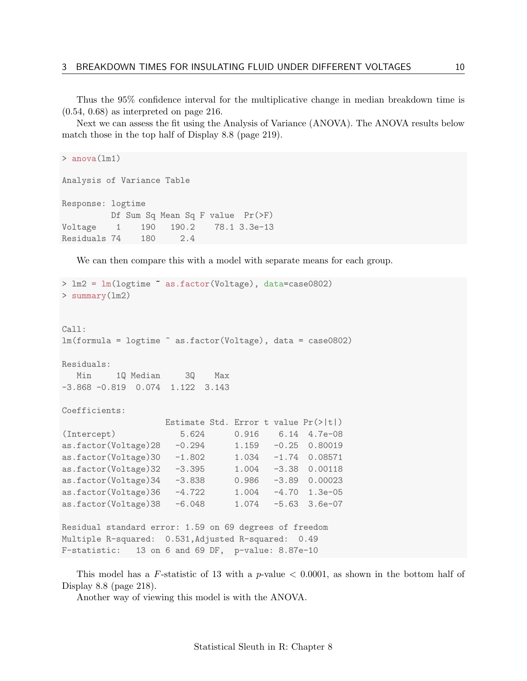Thus the 95% confidence interval for the multiplicative change in median breakdown time is (0.54, 0.68) as interpreted on page 216.

Next we can assess the fit using the Analysis of Variance (ANOVA). The ANOVA results below match those in the top half of Display 8.8 (page 219).

```
> anova(lm1)
Analysis of Variance Table
Response: logtime
         Df Sum Sq Mean Sq F value Pr(>F)
Voltage 1 190 190.2 78.1 3.3e-13
Residuals 74 180 2.4
```
We can then compare this with a model with separate means for each group.

```
> lm2 = lm(logtime ~ as.factor(Voltage), data=case0802)
> summary(lm2)
Call:
lm(formula = logtime ~ as.factor(Voltage), data = case0802)
Residuals:
  Min 1Q Median 3Q Max
-3.868 -0.819 0.074 1.122 3.143
Coefficients:
                    Estimate Std. Error t value Pr(>|t|)
(Intercept) 5.624 0.916 6.14 4.7e-08
as.factor(Voltage)28 -0.294 1.159 -0.25 0.80019
as.factor(Voltage)30 -1.802 1.034 -1.74 0.08571<br>as.factor(Voltage)32 -3.395 1.004 -3.38 0.00118
as.factor(Voltage)32 -3.395as.factor(Voltage)34 -3.838 0.986 -3.89 0.00023
as.factor(Voltage)36 -4.722 1.004 -4.70 1.3e-05
as.factor(Voltage)38 -6.048 1.074 -5.63 3.6e-07
Residual standard error: 1.59 on 69 degrees of freedom
Multiple R-squared: 0.531,Adjusted R-squared: 0.49
F-statistic: 13 on 6 and 69 DF, p-value: 8.87e-10
```
This model has a F-statistic of 13 with a  $p$ -value  $\lt$  0.0001, as shown in the bottom half of Display 8.8 (page 218).

Another way of viewing this model is with the ANOVA.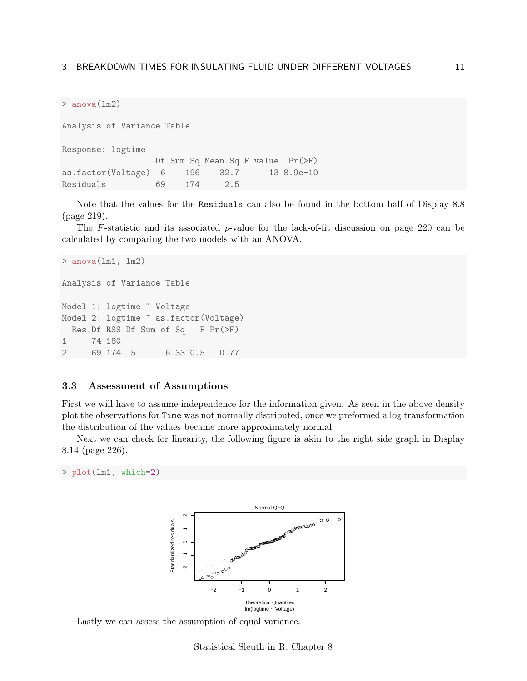```
> anova(lm2)
```
Analysis of Variance Table Response: logtime Df Sum Sq Mean Sq F value Pr(>F) as.factor(Voltage) 6 196 32.7 13 8.9e-10 Residuals 69 174 2.5

Note that the values for the Residuals can also be found in the bottom half of Display 8.8 (page 219).

The F-statistic and its associated p-value for the lack-of-fit discussion on page 220 can be calculated by comparing the two models with an ANOVA.

```
> anova(\text{lm1}, \text{lm2})Analysis of Variance Table
Model 1: logtime ~ Voltage
Model 2: logtime \tilde{ } as.factor(Voltage)
 Res.Df RSS Df Sum of Sq F Pr(>F)
1 74 180
2 69 174 5 6.33 0.5 0.77
```
#### <span id="page-10-0"></span>3.3 Assessment of Assumptions

First we will have to assume independence for the information given. As seen in the above density plot the observations for Time was not normally distributed, once we preformed a log transformation the distribution of the values became more approximately normal.

Next we can check for linearity, the following figure is akin to the right side graph in Display 8.14 (page 226).

```
> plot(lm1, which=2)
```


Lastly we can assess the assumption of equal variance.

Statistical Sleuth in R: Chapter 8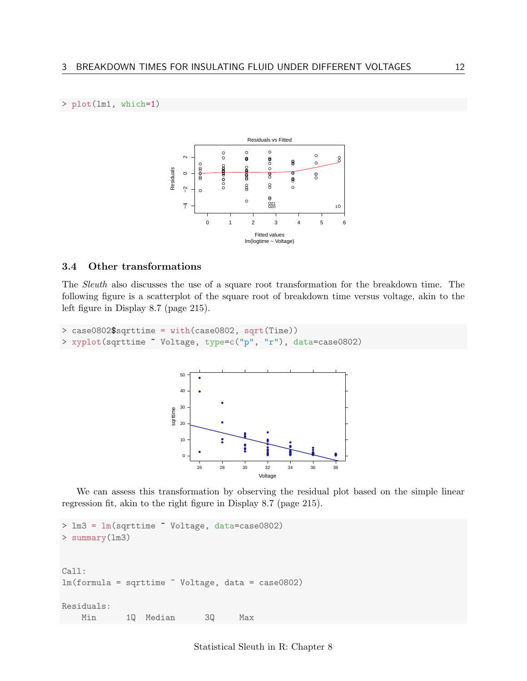### > plot(lm1, which=1)



## <span id="page-11-0"></span>3.4 Other transformations

The Sleuth also discusses the use of a square root transformation for the breakdown time. The following figure is a scatterplot of the square root of breakdown time versus voltage, akin to the left figure in Display 8.7 (page 215).

```
> case0802$sqrttime = with(case0802, sqrt(Time))
> xyplot(sqrttime ~ Voltage, type=c("p", "r"), data=case0802)
```


We can assess this transformation by observing the residual plot based on the simple linear regression fit, akin to the right figure in Display 8.7 (page 215).

```
> lm3 = lm(sqrttime ~ Voltage, data=case0802)
> summary(lm3)
Call:
lm(formula = sqrttime " Voltage, data = case0802)Residuals:
   Min 1Q Median 3Q Max
```